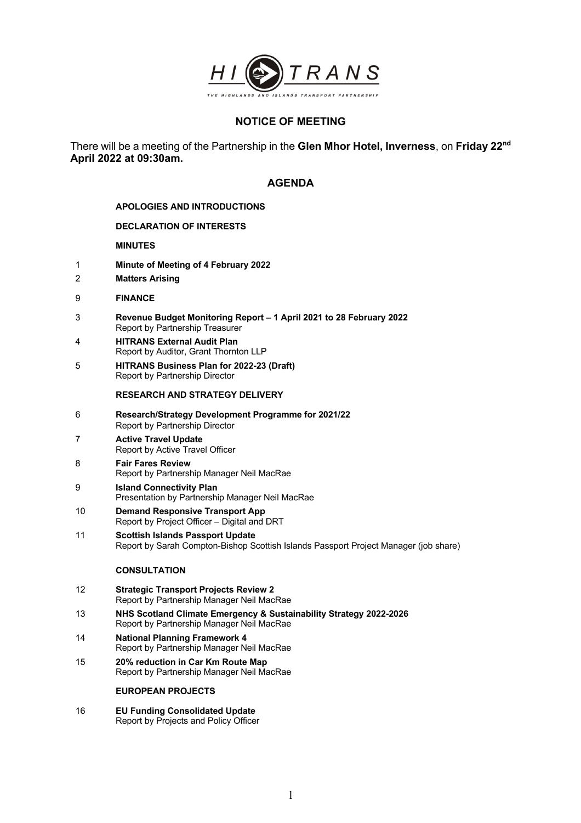

# **NOTICE OF MEETING**

There will be a meeting of the Partnership in the **Glen Mhor Hotel, Inverness**, on **Friday 22nd April 2022 at 09:30am.**

## **AGENDA**

## **APOLOGIES AND INTRODUCTIONS**

## **DECLARATION OF INTERESTS**

## **MINUTES**

- 1 **Minute of Meeting of 4 February 2022**
- 2 **Matters Arising**
- 9 **FINANCE**
- 3 **Revenue Budget Monitoring Report – 1 April 2021 to 28 February 2022** Report by Partnership Treasurer
- 4 **HITRANS External Audit Plan** Report by Auditor, Grant Thornton LLP
- 5 **HITRANS Business Plan for 2022-23 (Draft)** Report by Partnership Director

#### **RESEARCH AND STRATEGY DELIVERY**

- 6 **Research/Strategy Development Programme for 2021/22**  Report by Partnership Director
- 7 **Active Travel Update** Report by Active Travel Officer

## 8 **Fair Fares Review** Report by Partnership Manager Neil MacRae

- 9 **Island Connectivity Plan** Presentation by Partnership Manager Neil MacRae
- 10 **Demand Responsive Transport App** Report by Project Officer – Digital and DRT
- 11 **Scottish Islands Passport Update** Report by Sarah Compton-Bishop Scottish Islands Passport Project Manager (job share)

## **CONSULTATION**

- 12 **Strategic Transport Projects Review 2** Report by Partnership Manager Neil MacRae
- 13 **NHS Scotland Climate Emergency & Sustainability Strategy 2022-2026** Report by Partnership Manager Neil MacRae
- 14 **National Planning Framework 4** Report by Partnership Manager Neil MacRae
- 15 **20% reduction in Car Km Route Map** Report by Partnership Manager Neil MacRae

## **EUROPEAN PROJECTS**

16 **EU Funding Consolidated Update** Report by Projects and Policy Officer